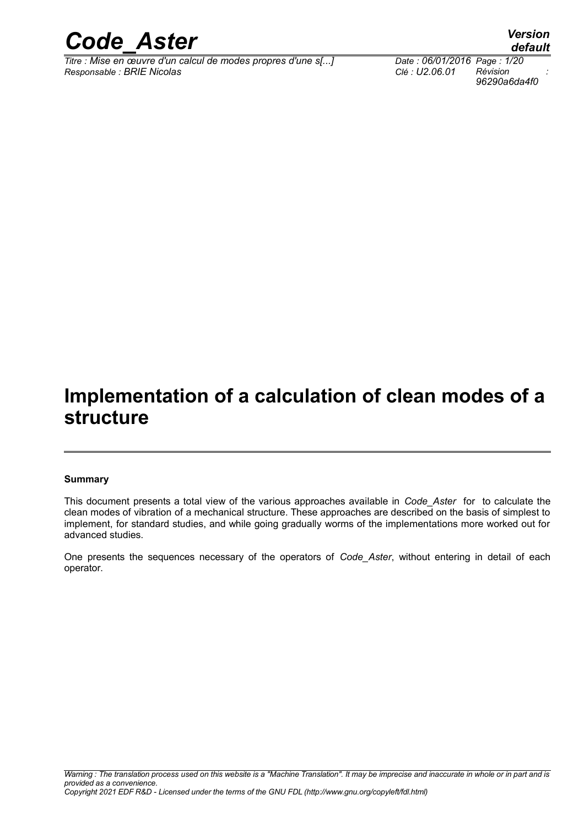

*Titre : Mise en œuvre d'un calcul de modes propres d'une s[...] Date : 06/01/2016 Page : 1/20 Responsable : BRIE Nicolas Clé : U2.06.01 Révision :*

*96290a6da4f0*

## **Implementation of a calculation of clean modes of a structure**

#### **Summary**

This document presents a total view of the various approaches available in *Code\_Aster* for to calculate the clean modes of vibration of a mechanical structure. These approaches are described on the basis of simplest to implement, for standard studies, and while going gradually worms of the implementations more worked out for advanced studies.

One presents the sequences necessary of the operators of *Code\_Aster*, without entering in detail of each operator.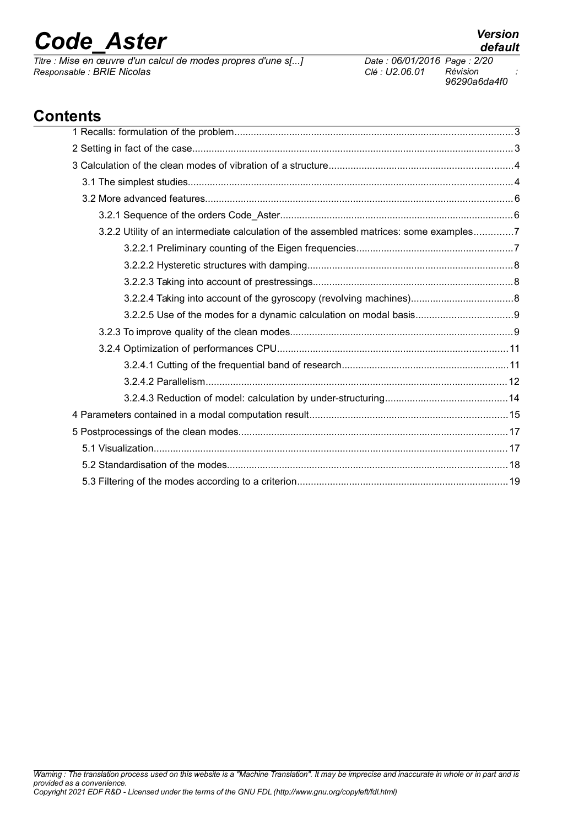*Titre : Mise en œuvre d'un calcul de modes propres d'une s[...] Date : 06/01/2016 Page : 2/20 Responsable : BRIE Nicolas Clé : U2.06.01 Révision :*

*96290a6da4f0*

## **Contents**

| 3.2.2 Utility of an intermediate calculation of the assembled matrices: some examples7 |  |
|----------------------------------------------------------------------------------------|--|
|                                                                                        |  |
|                                                                                        |  |
|                                                                                        |  |
|                                                                                        |  |
|                                                                                        |  |
|                                                                                        |  |
|                                                                                        |  |
|                                                                                        |  |
|                                                                                        |  |
|                                                                                        |  |
|                                                                                        |  |
|                                                                                        |  |
|                                                                                        |  |
|                                                                                        |  |
|                                                                                        |  |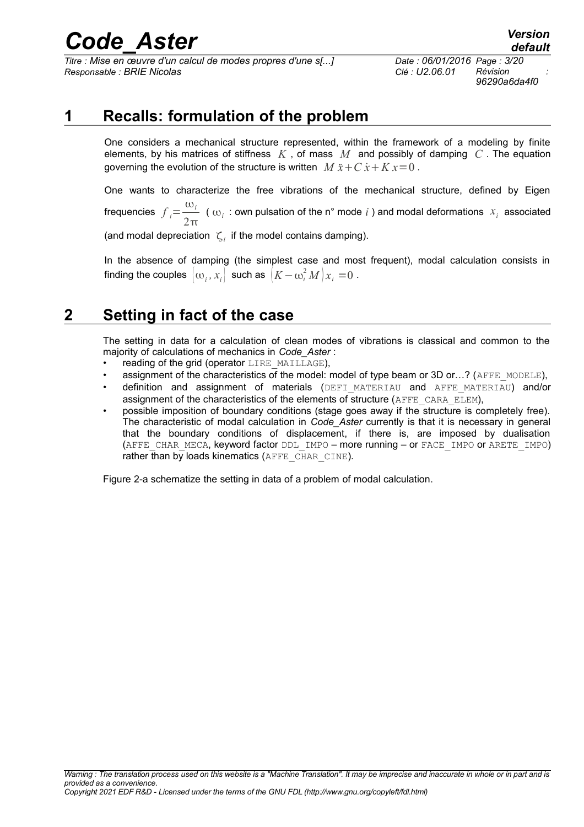*Titre : Mise en œuvre d'un calcul de modes propres d'une s[...] Date : 06/01/2016 Page : 3/20 Responsable : BRIE Nicolas Clé : U2.06.01 Révision :*

*96290a6da4f0*

## **1 Recalls: formulation of the problem**

<span id="page-2-0"></span>One considers a mechanical structure represented, within the framework of a modeling by finite elements, by his matrices of stiffness *K* , of mass *M* and possibly of damping *C* . The equation governing the evolution of the structure is written  $M\ddot{x} + C\dot{x} + Kx = 0$ .

One wants to characterize the free vibrations of the mechanical structure, defined by Eigen frequencies *f i*=  $\omega_i$  $2\pi$ ( $\omega_i$ : own pulsation of the n° mode *i*) and modal deformations  $x_i$  associated

(and modal depreciation  $\mathcal{L}_i$  if the model contains damping).

In the absence of damping (the simplest case and most frequent), modal calculation consists in finding the couples  $\left[\omega_{_{i}},x_{_{i}}\right]$  such as  $\left[K-\omega_{_{i}}^{2}M\right]$   $x_{_{i}}=0$  .

### **2 Setting in fact of the case**

The setting in data for a calculation of clean modes of vibrations is classical and common to the majority of calculations of mechanics in *Code\_Aster* :

- reading of the grid (operator LIRE\_MAILLAGE),
- assignment of the characteristics of the model: model of type beam or 3D or...? (AFFE\_MODELE),
- definition and assignment of materials (DEFI\_MATERIAU and AFFE\_MATERIAU) and/or assignment of the characteristics of the elements of structure (AFFE\_CARA\_ELEM),
- possible imposition of boundary conditions (stage goes away if the structure is completely free). The characteristic of modal calculation in *Code\_Aster* currently is that it is necessary in general that the boundary conditions of displacement, if there is, are imposed by dualisation (AFFE CHAR MECA, keyword factor DDL IMPO – more running – or FACE IMPO or ARETE IMPO) rather than by loads kinematics (AFFE\_CHAR\_CINE).

[Figure 2-a](#page-3-0) schematize the setting in data of a problem of modal calculation.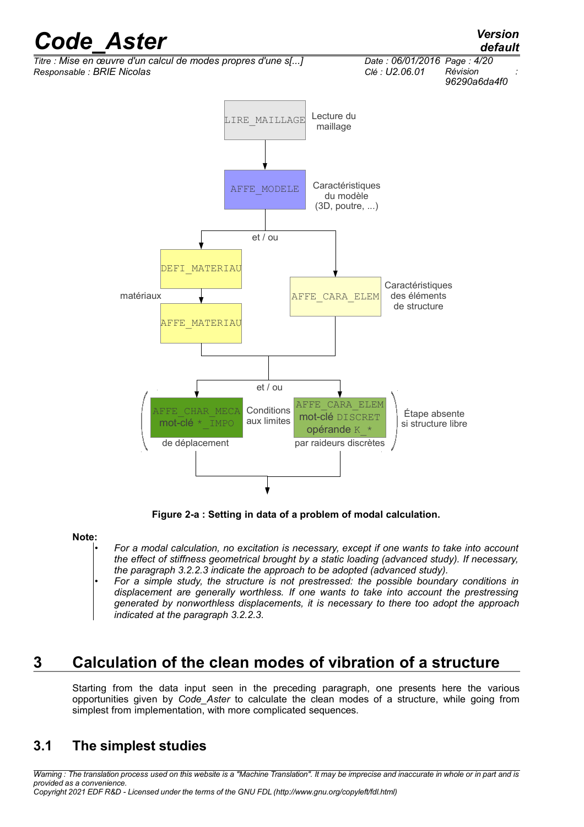*Titre : Mise en œuvre d'un calcul de modes propres d'une s[...] Date : 06/01/2016 Page : 4/20 Responsable : BRIE Nicolas Clé : U2.06.01 Révision :*

*default 96290a6da4f0*



<span id="page-3-0"></span>**Figure 2-a : Setting in data of a problem of modal calculation.**

#### **Note:**

• *For a modal calculation, no excitation is necessary, except if one wants to take into account the effect of stiffness geometrical brought by a static loading (advanced study). If necessary, the paragraph [3.2.2.3](#page-7-0) indicate the approach to be adopted (advanced study).*

• *For a simple study, the structure is not prestressed: the possible boundary conditions in displacement are generally worthless. If one wants to take into account the prestressing generated by nonworthless displacements, it is necessary to there too adopt the approach indicated at the paragraph [3.2.2.3.](#page-7-0)*

## **3 Calculation of the clean modes of vibration of a structure**

Starting from the data input seen in the preceding paragraph, one presents here the various opportunities given by *Code\_Aster* to calculate the clean modes of a structure, while going from simplest from implementation, with more complicated sequences.

### **3.1 The simplest studies**

*Warning : The translation process used on this website is a "Machine Translation". It may be imprecise and inaccurate in whole or in part and is provided as a convenience.*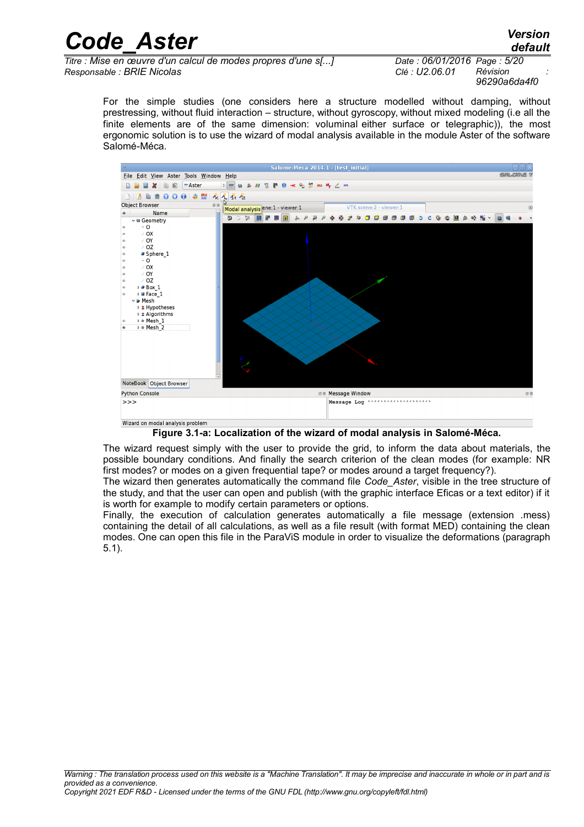| <b>Code Aster</b>                                            | <b>Version</b><br>default   |
|--------------------------------------------------------------|-----------------------------|
| Titre : Mise en œuvre d'un calcul de modes propres d'une s[] | Date: 06/01/2016 Page: 5/20 |

*default*

*Responsable : BRIE Nicolas Clé : U2.06.01 Révision :*

*96290a6da4f0*

For the simple studies (one considers here a structure modelled without damping, without prestressing, without fluid interaction – structure, without gyroscopy, without mixed modeling (i.e all the finite elements are of the same dimension: voluminal either surface or telegraphic)), the most ergonomic solution is to use the wizard of modal analysis available in the module Aster of the software Salomé-Méca.



**Figure 3.1-a: Localization of the wizard of modal analysis in Salomé-Méca.**

The wizard request simply with the user to provide the grid, to inform the data about materials, the possible boundary conditions. And finally the search criterion of the clean modes (for example: NR first modes? or modes on a given frequential tape? or modes around a target frequency?).

The wizard then generates automatically the command file *Code\_Aster*, visible in the tree structure of the study, and that the user can open and publish (with the graphic interface Eficas or a text editor) if it is worth for example to modify certain parameters or options.

Finally, the execution of calculation generates automatically a file message (extension .mess) containing the detail of all calculations, as well as a file result (with format MED) containing the clean modes. One can open this file in the ParaViS module in order to visualize the deformations (paragraph [5.1\)](#page-16-0).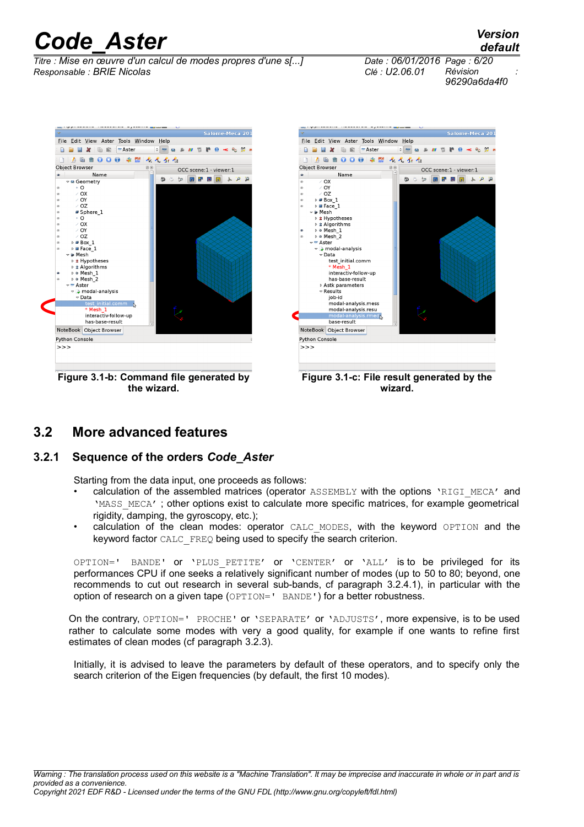*default*

*Titre : Mise en œuvre d'un calcul de modes propres d'une s[...] Date : 06/01/2016 Page : 6/20 Responsable : BRIE Nicolas Clé : U2.06.01 Révision :*

*96290a6da4f0*



**Figure 3.1-b: Command file generated by the wizard.**



**Figure 3.1-c: File result generated by the wizard.**

### **3.2 More advanced features**

#### **3.2.1 Sequence of the orders** *Code\_Aster*

<span id="page-5-0"></span>Starting from the data input, one proceeds as follows:

- calculation of the assembled matrices (operator ASSEMBLY with the options 'RIGI\_MECA' and 'MASS MECA' ; other options exist to calculate more specific matrices, for example geometrical rigidity, damping, the gyroscopy, etc.);
- calculation of the clean modes: operator CALC\_MODES, with the keyword OPTION and the keyword factor CALC FREQ being used to specify the search criterion.

OPTION=' BANDE' or 'PLUS\_PETITE' or 'CENTER' or 'ALL' is to be privileged for its performances CPU if one seeks a relatively significant number of modes (up to 50 to 80; beyond, one recommends to cut out research in several sub-bands, cf paragraph [3.2.4.1\)](#page-10-0), in particular with the option of research on a given tape (OPTION=' BANDE') for a better robustness.

On the contrary, OPTION=' PROCHE' or 'SEPARATE' or 'ADJUSTS', more expensive, is to be used rather to calculate some modes with very a good quality, for example if one wants to refine first estimates of clean modes (cf paragraph [3.2.3\)](#page-8-0).

Initially, it is advised to leave the parameters by default of these operators, and to specify only the search criterion of the Eigen frequencies (by default, the first 10 modes).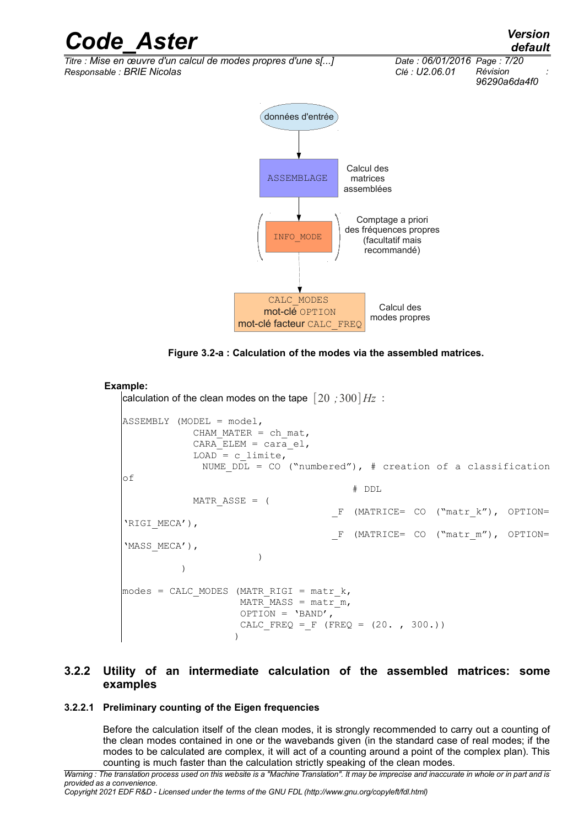

CALC\_MODES mot-clé OPTION

**Figure 3.2-a : Calculation of the modes via the assembled matrices.**

Calcul des modes propres

Comptage a priori des fréquences propres (facultatif mais recommandé)

mot-clé facteur CALC\_FREQ

INFO\_MODE

#### **Example:**

```
calculation of the clean modes on the tape [20 ;300] Hz :
ASSEMBLY (MODEL = model,
          CHAM MATER = ch_mat,
          CARA ELEM = cara el,
          LOAD = c limite,
           NUME DDL = CO ("numbered"), # creation of a classification
of
 # DDL
          MATR ASSE = (F (MATRICE= CO ("matr k"), OPTION=
'RIGI_MECA'),
                              F (MATRICE= CO ("matr_m"), OPTION=
'MASS_MECA'),
 )
)modes = CALC MODES (MATR RIGI = matr k,
                MATR MASS = matr m,
                 OPTION = 'BAND',
                 CALC FREQ = F (FREQ = (20. , 300.)) )
```
#### **3.2.2 Utility of an intermediate calculation of the assembled matrices: some examples**

#### **3.2.2.1 Preliminary counting of the Eigen frequencies**

Before the calculation itself of the clean modes, it is strongly recommended to carry out a counting of the clean modes contained in one or the wavebands given (in the standard case of real modes; if the modes to be calculated are complex, it will act of a counting around a point of the complex plan). This counting is much faster than the calculation strictly speaking of the clean modes.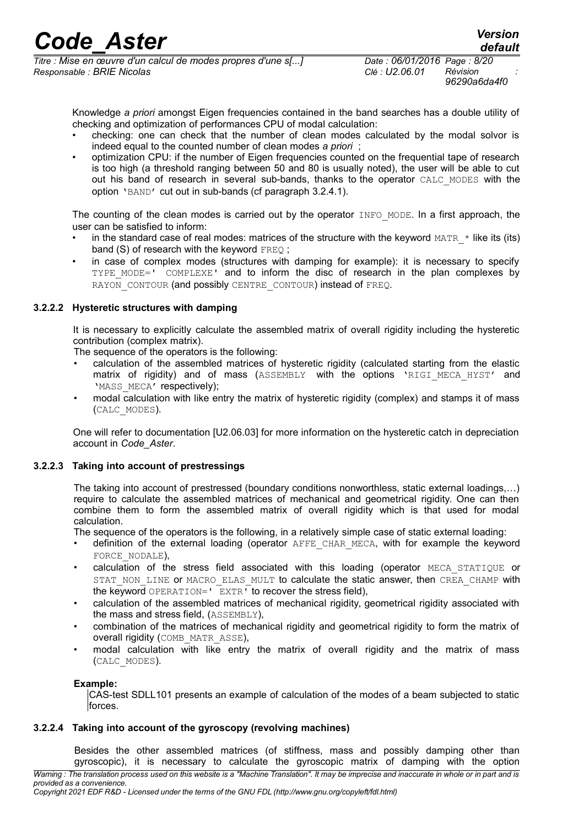*Titre : Mise en œuvre d'un calcul de modes propres d'une s[...] Date : 06/01/2016 Page : 8/20 Responsable : BRIE Nicolas Clé : U2.06.01 Révision :*

*96290a6da4f0*

Knowledge *a priori* amongst Eigen frequencies contained in the band searches has a double utility of checking and optimization of performances CPU of modal calculation:

- checking: one can check that the number of clean modes calculated by the modal solvor is indeed equal to the counted number of clean modes *a priori* ;
- optimization CPU: if the number of Eigen frequencies counted on the frequential tape of research is too high (a threshold ranging between 50 and 80 is usually noted), the user will be able to cut out his band of research in several sub-bands, thanks to the operator CALC\_MODES with the option 'BAND' cut out in sub-bands (cf paragraph [3.2.4.1\)](#page-10-0).

The counting of the clean modes is carried out by the operator  $INFO$  MODE. In a first approach, the user can be satisfied to inform:

- in the standard case of real modes: matrices of the structure with the keyword MATR  $*$  like its (its) band (S) of research with the keyword FREQ;
- in case of complex modes (structures with damping for example): it is necessary to specify TYPE\_MODE=' COMPLEXE' and to inform the disc of research in the plan complexes by RAYON CONTOUR (and possibly CENTRE CONTOUR) instead of FREQ.

#### **3.2.2.2 Hysteretic structures with damping**

It is necessary to explicitly calculate the assembled matrix of overall rigidity including the hysteretic contribution (complex matrix).

The sequence of the operators is the following:

- calculation of the assembled matrices of hysteretic rigidity (calculated starting from the elastic matrix of rigidity) and of mass  $(ASSEMENT$  with the options  $'REG$  MECA HYST' and 'MASS\_MECA' respectively);
- modal calculation with like entry the matrix of hysteretic rigidity (complex) and stamps it of mass (CALC\_MODES).

One will refer to documentation [U2.06.03] for more information on the hysteretic catch in depreciation account in *Code\_Aster*.

#### **3.2.2.3 Taking into account of prestressings**

<span id="page-7-0"></span>The taking into account of prestressed (boundary conditions nonworthless, static external loadings,…) require to calculate the assembled matrices of mechanical and geometrical rigidity. One can then combine them to form the assembled matrix of overall rigidity which is that used for modal calculation.

The sequence of the operators is the following, in a relatively simple case of static external loading:

- definition of the external loading (operator AFFE\_CHAR\_MECA, with for example the keyword FORCE\_NODALE),
- calculation of the stress field associated with this loading (operator MECA\_STATIQUE or STAT NON LINE OF MACRO ELAS MULT to calculate the static answer, then CREA CHAMP with the keyword OPERATION=' EXTR' to recover the stress field),
- calculation of the assembled matrices of mechanical rigidity, geometrical rigidity associated with the mass and stress field, (ASSEMBLY),
- combination of the matrices of mechanical rigidity and geometrical rigidity to form the matrix of overall rigidity (COMB\_MATR\_ASSE),
- modal calculation with like entry the matrix of overall rigidity and the matrix of mass (CALC\_MODES).

#### **Example:**

CAS-test SDLL101 presents an example of calculation of the modes of a beam subjected to static forces.

#### **3.2.2.4 Taking into account of the gyroscopy (revolving machines)**

Besides the other assembled matrices (of stiffness, mass and possibly damping other than gyroscopic), it is necessary to calculate the gyroscopic matrix of damping with the option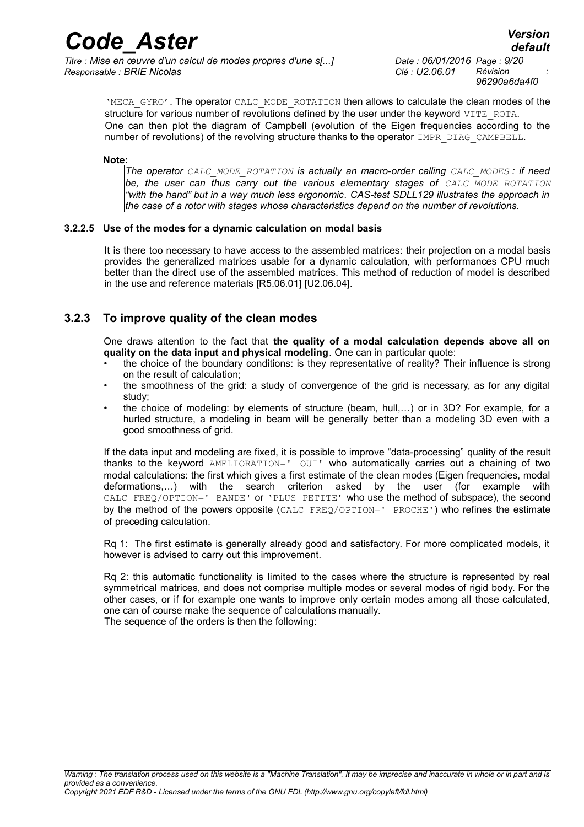*Titre : Mise en œuvre d'un calcul de modes propres d'une s[...] Date : 06/01/2016 Page : 9/20 Responsable : BRIE Nicolas Clé : U2.06.01 Révision :*

*96290a6da4f0*

'MECA\_GYRO'. The operator CALC\_MODE\_ROTATION then allows to calculate the clean modes of the structure for various number of revolutions defined by the user under the keyword VITE\_ROTA. One can then plot the diagram of Campbell (evolution of the Eigen frequencies according to the number of revolutions) of the revolving structure thanks to the operator IMPR\_DIAG\_CAMPBELL.

#### **Note:**

*The operator CALC\_MODE\_ROTATION is actually an macro-order calling CALC\_MODES : if need* **be, the user can thus carry out the various elementary stages of** CALC\_MODE\_ROTATION *"with the hand" but in a way much less ergonomic. CAS-test SDLL129 illustrates the approach in the case of a rotor with stages whose characteristics depend on the number of revolutions.*

#### **3.2.2.5 Use of the modes for a dynamic calculation on modal basis**

It is there too necessary to have access to the assembled matrices: their projection on a modal basis provides the generalized matrices usable for a dynamic calculation, with performances CPU much better than the direct use of the assembled matrices. This method of reduction of model is described in the use and reference materials [R5.06.01] [U2.06.04].

#### **3.2.3 To improve quality of the clean modes**

<span id="page-8-0"></span>One draws attention to the fact that **the quality of a modal calculation depends above all on quality on the data input and physical modeling**. One can in particular quote:

- the choice of the boundary conditions: is they representative of reality? Their influence is strong on the result of calculation;
- the smoothness of the grid: a study of convergence of the grid is necessary, as for any digital study;
- the choice of modeling: by elements of structure (beam, hull,…) or in 3D? For example, for a hurled structure, a modeling in beam will be generally better than a modeling 3D even with a good smoothness of grid.

If the data input and modeling are fixed, it is possible to improve "data-processing" quality of the result thanks to the keyword AMELIORATION=' OUI' who automatically carries out a chaining of two modal calculations: the first which gives a first estimate of the clean modes (Eigen frequencies, modal deformations,…) with the search criterion asked by the user (for example with CALC\_FREQ/OPTION=' BANDE' or 'PLUS\_PETITE' who use the method of subspace), the second by the method of the powers opposite (CALC\_FREQ/OPTION=' PROCHE') who refines the estimate of preceding calculation.

Rq 1: The first estimate is generally already good and satisfactory. For more complicated models, it however is advised to carry out this improvement.

Rq 2: this automatic functionality is limited to the cases where the structure is represented by real symmetrical matrices, and does not comprise multiple modes or several modes of rigid body. For the other cases, or if for example one wants to improve only certain modes among all those calculated, one can of course make the sequence of calculations manually.

The sequence of the orders is then the following: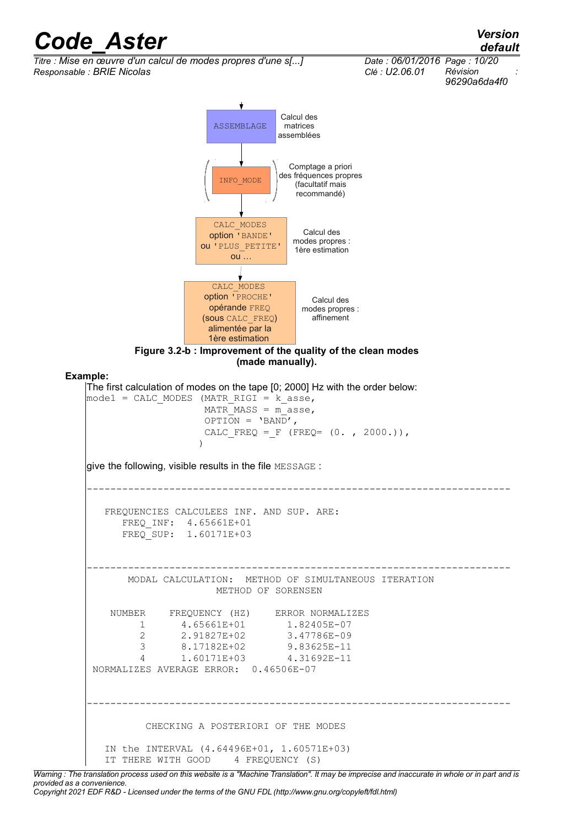

IT THERE WITH GOOD 4 FREQUENCY (S)

*Warning : The translation process used on this website is a "Machine Translation". It may be imprecise and inaccurate in whole or in part and is provided as a convenience. Copyright 2021 EDF R&D - Licensed under the terms of the GNU FDL (http://www.gnu.org/copyleft/fdl.html)*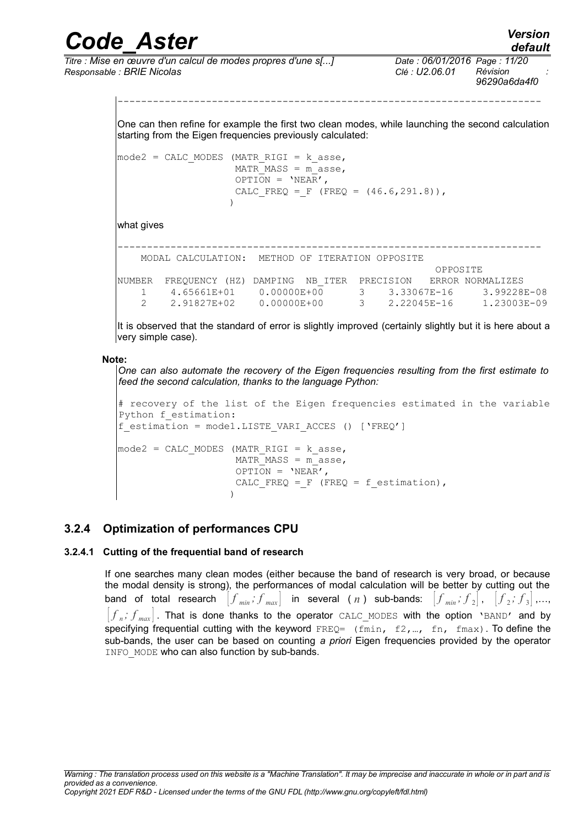| <b>Code Aster</b>                                                                          |                                                | <b>Version</b><br>default |  |
|--------------------------------------------------------------------------------------------|------------------------------------------------|---------------------------|--|
| Titre : Mise en œuvre d'un calcul de modes propres d'une s[]<br>Responsable : BRIE Nicolas | Date: 06/01/2016 Page: 11/20<br>Clé : U2.06.01 | Révision                  |  |
|                                                                                            |                                                | <b>AAAAA A ! !!A</b>      |  |

*96290a6da4f0*

One can then refine for example the first two clean modes, while launching the second calculation starting from the Eigen frequencies previously calculated:

------------------------------------------------------------------------

```
mode2 = CALC MODES (MATR RIGI = kasse,MATR MASS = m asse,
                 OPTION = 'NEAR'.CALC FREQ = F (FREQ = (46.6, 291.8)),
 )
```
#### what gives

------------------------------------------------------------------------ MODAL CALCULATION: METHOD OF ITERATION OPPOSITE OPPOSITE NUMBER FREQUENCY (HZ) DAMPING NB\_ITER PRECISION ERROR NORMALIZES 1 4.65661E+01 0.00000E+00 3 3.33067E-16 3.99228E-08 2 2.91827E+02 0.00000E+00 3 2.22045E-16 1.23003E-09

It is observed that the standard of error is slightly improved (certainly slightly but it is here about a very simple case).

#### **Note:**

*One can also automate the recovery of the Eigen frequencies resulting from the first estimate to feed the second calculation, thanks to the language Python:*

```
# recovery of the list of the Eigen frequencies estimated in the variable
Python f_estimation:
f_estimation = mode1.LISTE_VARI_ACCES () ['FREQ']
mode2 = CALC MODES (MATR RIGI = k asse,
                  MATR MASS = m asse,
                  OPTION = 'NEAR',CALC FREQ = F (FREQ = f estimation),
 )
```
#### **3.2.4 Optimization of performances CPU**

#### **3.2.4.1 Cutting of the frequential band of research**

<span id="page-10-0"></span>If one searches many clean modes (either because the band of research is very broad, or because the modal density is strong), the performances of modal calculation will be better by cutting out the band of total research  $\left|f_{_{min}}; f_{_{max}}\right|$  in several (*n*) sub-bands:  $\left|f_{_{min}}; f_{_{2}}\right|,$   $\left|f_{_{2}}; f_{_{3}}\right|, ...,$  $\left|f_{\scriptscriptstyle n}; f_{\scriptscriptstyle max}\right|$ . That is done thanks to the operator  $\texttt{CALC\_MODES}$  with the option 'BAND' and by specifying frequential cutting with the keyword  $FREQ= (fmin, f2, ..., fn, fmax)$ . To define the sub-bands, the user can be based on counting *a priori* Eigen frequencies provided by the operator INFO MODE who can also function by sub-bands.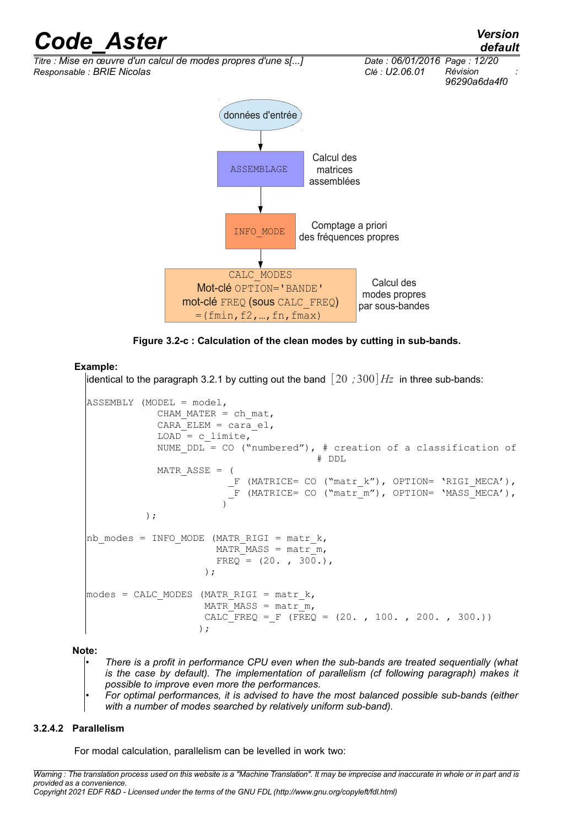

**Figure 3.2-c : Calculation of the clean modes by cutting in sub-bands.**

#### **Example:**

identical to the paragraph [3.2.1](#page-5-0) by cutting out the band  $\left[20,300\right]$  *Hz* in three sub-bands:

```
ASSEMENT (MODEL = model,
          CHAM MATER = ch mat,
          CARA ELEM = cara el,
          LOAD = c limite,
          NUME DDL = CO ("numbered"), # creation of a classification of
 # DDL
          MATR ASSE = (
                     F (MATRICE= CO ("matr k"), OPTION= 'RIGI MECA'),
                      \overline{F} (MATRICE= CO ("matr_m"), OPTION= 'MASS_MECA'),
 )
          );
nb\_modes = INFO\_MODE (MATR_RIGI = matr_k,
                   MATR MASS = matr m,
                   FREQ = (20. , 300.)); \sum_{i=1}^{n}\mod = CALC MODES (MATR RIGI = matr k,
                 MATRMASS = matr m,
                 CALC FREQ = F (FREQ = (20. , 100. , 200. , 300.))
) ;
```
#### **Note:**

- *There is a profit in performance CPU even when the sub-bands are treated sequentially (what is the case by default). The implementation of parallelism (cf following paragraph) makes it possible to improve even more the performances.*
- *For optimal performances, it is advised to have the most balanced possible sub-bands (either with a number of modes searched by relatively uniform sub-band).*

#### **3.2.4.2 Parallelism**

For modal calculation, parallelism can be levelled in work two: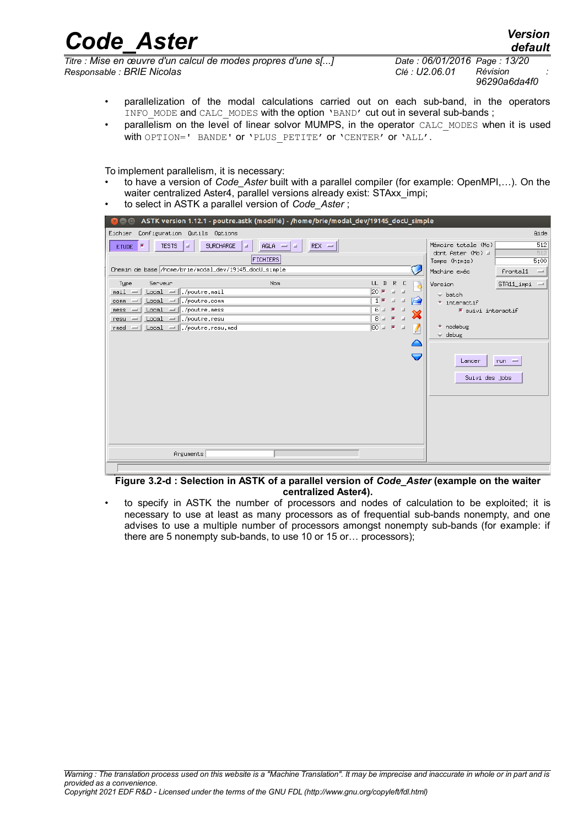*Titre : Mise en œuvre d'un calcul de modes propres d'une s[...] Date : 06/01/2016 Page : 13/20 Responsable : BRIE Nicolas Clé : U2.06.01 Révision :*

*96290a6da4f0*

- parallelization of the modal calculations carried out on each sub-band, in the operators INFO\_MODE and CALC\_MODES with the option 'BAND' cut out in several sub-bands ;
- parallelism on the level of linear solvor MUMPS, in the operator CALC\_MODES when it is used with OPTION=' BANDE' or 'PLUS PETITE' or 'CENTER' or 'ALL'.

To implement parallelism, it is necessary:

- to have a version of *Code\_Aster* built with a parallel compiler (for example: OpenMPI,…). On the waiter centralized Aster4, parallel versions already exist: STAxx\_impi;
- to select in ASTK a parallel version of *Code\_Aster* ;

| ASTK version 1.12.1 - poutre.astk (modifié) - /home/brie/modal_dev/19145_docU_simple                                                                                                                                                                                                                                                                                                                 |                                                                                                                                                                         |
|------------------------------------------------------------------------------------------------------------------------------------------------------------------------------------------------------------------------------------------------------------------------------------------------------------------------------------------------------------------------------------------------------|-------------------------------------------------------------------------------------------------------------------------------------------------------------------------|
| Configuration Qutils Options<br>Eichier                                                                                                                                                                                                                                                                                                                                                              | Aide                                                                                                                                                                    |
| <b>TESTS</b><br><b>SURCHARGE</b><br>$AGLA =  I $<br>$REX =$<br>ETUDE.<br>л<br>l a<br>u.<br><b>FICHIERS</b><br>Chemin de base /home/brie/modal_dev/19145_docU_simple                                                                                                                                                                                                                                  | 512<br>Mémoire totale (Mo)<br>512<br>dont Aster (Mo) =<br>5:00<br>Temps (h:m:s)<br>frontal1<br>Machine exéc<br>$=$                                                      |
| Nom<br>UL D<br>$\mathbb{R}$<br>Type<br>Serveur<br>-C<br>20<br>$Local = \ $ ./poutre.mail<br>mail<br>$=$ 1<br>$1 \times$<br>$Local = \ $ ./poutre.comm<br>E<br>$conn =$<br>$6 \equiv$<br>Local<br>./poutre.mess<br>$-1$<br>mess<br>$\equiv$<br>$8 \times$<br>./poutre.resu<br>Local<br>resu<br>$\equiv$<br>⊣<br>$\overline{80}$ a<br>./poutre.resu.med<br>Local<br>rmed<br>$-1$<br>$\equiv$<br>y<br>▽ | Version<br>$STA11$ _impi $-$<br>$\div$ batch<br>$*$ interactif<br>$\blacksquare$ suivi interactif<br>$*$ nodebug<br>$\div$ debug<br>Lancer<br>run $=$<br>Suivi des jobs |
| Arguments                                                                                                                                                                                                                                                                                                                                                                                            |                                                                                                                                                                         |

**Figure 3.2-d : Selection in ASTK of a parallel version of** *Code\_Aster* **(example on the waiter centralized Aster4).**

• to specify in ASTK the number of processors and nodes of calculation to be exploited; it is necessary to use at least as many processors as of frequential sub-bands nonempty, and one advises to use a multiple number of processors amongst nonempty sub-bands (for example: if there are 5 nonempty sub-bands, to use 10 or 15 or… processors);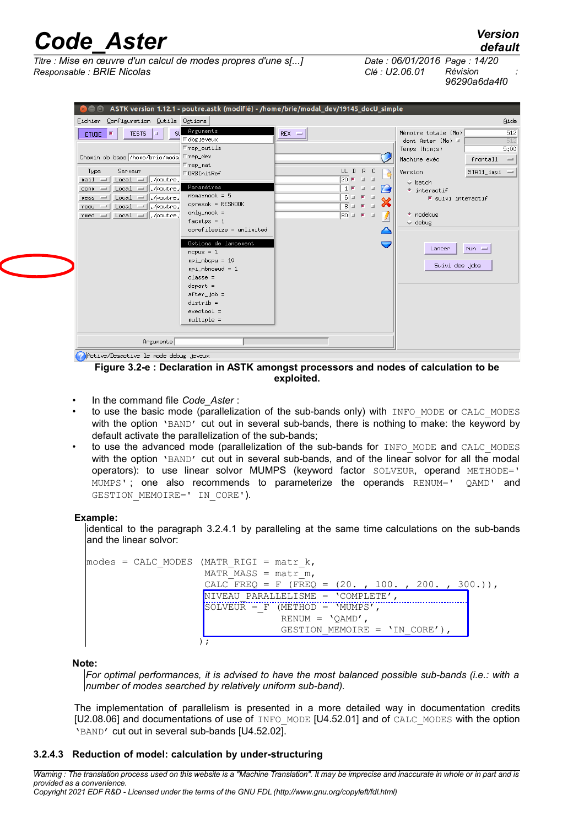*Titre : Mise en œuvre d'un calcul de modes propres d'une s[...] Date : 06/01/2016 Page : 14/20 Responsable : BRIE Nicolas Clé : U2.06.01 Révision :*

*96290a6da4f0*

*default*

| 880                                                                                       | ASTK version 1.12.1 - poutre.astk (modifié) - /home/brie/modal_dev/19145_docU_simple |         |                   |         |    |                     |            |                          |
|-------------------------------------------------------------------------------------------|--------------------------------------------------------------------------------------|---------|-------------------|---------|----|---------------------|------------|--------------------------|
|                                                                                           |                                                                                      |         |                   |         |    |                     |            |                          |
| Eichier Configuration Qutils Options                                                      |                                                                                      |         |                   |         |    |                     |            | Aide                     |
| <b>TESTS</b><br>ETUDE.                                                                    | Arguments                                                                            | $REX =$ |                   |         |    | Mémoire totale (Mo) |            | 512                      |
|                                                                                           | dbg.jeveux                                                                           |         |                   |         |    | dont Aster (Mo) J   |            | 512                      |
|                                                                                           | Frep_outils                                                                          |         |                   |         |    | Temps (h:m:s)       |            | 5:00                     |
| Chemin de base /home/brie/moda] Frep_dex                                                  |                                                                                      |         |                   |         | v. | Machine exéc        | frontal1   | $=$                      |
| Serveur<br>Type                                                                           | Γrep_mat<br><b>FORBInitRef</b>                                                       |         | UL D              | $R$ $C$ |    | Version             | STA11_impi | $\overline{\phantom{a}}$ |
| $mail =$<br>$Local = \ $ ./poutre.                                                        |                                                                                      |         | 20                |         |    | $\div$ batch        |            |                          |
| $Local = \ $ ,/poutre,<br>$conn =$                                                        | Paramètres                                                                           |         | $1 \nF$           |         | E  | $*$ interactif      |            |                          |
| $Local =   $ ./poutre.<br>$mess =$                                                        | $nbmaxnot = 5$                                                                       |         | $6 =$             |         |    | ■ suivi interactif  |            |                          |
| $Local = \ $ ./poutre.<br>resu<br>$\overline{\phantom{a}}$                                | cpresok = RESNOOK                                                                    |         | 8 <sub>1</sub>    |         |    |                     |            |                          |
| $\lfloor$ Local $\lfloor - \rfloor \rfloor$ ,/poutre.<br>rmed<br>$\overline{\phantom{a}}$ | $only\_notk =$                                                                       |         | $\overline{80}$ = |         |    | * nodebug           |            |                          |
|                                                                                           | $factors = 1$                                                                        |         |                   |         |    | $\div$ debug        |            |                          |
|                                                                                           | $corefilesize = unlimited$                                                           |         |                   |         | ≏  |                     |            |                          |
|                                                                                           | Options de lancement                                                                 |         |                   |         | V  |                     |            |                          |
|                                                                                           | $nopus = 1$                                                                          |         |                   |         |    | Lancer              | run $=$    |                          |
|                                                                                           | $mpi_n$ hbopu = 10                                                                   |         |                   |         |    |                     |            |                          |
|                                                                                           | $mpi_{n}$ hbnoeud = 1                                                                |         |                   |         |    | Suivi des jobs      |            |                          |
|                                                                                           | $\text{classes}$ =                                                                   |         |                   |         |    |                     |            |                          |
|                                                                                           | $depart =$                                                                           |         |                   |         |    |                     |            |                          |
|                                                                                           | $after\_job =$                                                                       |         |                   |         |    |                     |            |                          |
|                                                                                           | $distrib =$                                                                          |         |                   |         |    |                     |            |                          |
|                                                                                           | $exectool =$                                                                         |         |                   |         |    |                     |            |                          |
|                                                                                           | $multiple =$                                                                         |         |                   |         |    |                     |            |                          |
|                                                                                           |                                                                                      |         |                   |         |    |                     |            |                          |
| Arguments                                                                                 |                                                                                      |         |                   |         |    |                     |            |                          |
|                                                                                           |                                                                                      |         |                   |         |    |                     |            |                          |
| A Active/Desactive le mode debug jeveux                                                   |                                                                                      |         |                   |         |    |                     |            |                          |

**Figure 3.2-e : Declaration in ASTK amongst processors and nodes of calculation to be exploited.**

- In the command file *Code\_Aster* :
- to use the basic mode (parallelization of the sub-bands only) with INFO\_MODE or CALC\_MODES with the option 'BAND' cut out in several sub-bands, there is nothing to make: the keyword by default activate the parallelization of the sub-bands;
- to use the advanced mode (parallelization of the sub-bands for INFO\_MODE and CALC\_MODES with the option 'BAND' cut out in several sub-bands, and of the linear solvor for all the modal operators): to use linear solvor MUMPS (keyword factor SOLVEUR, operand METHODE=' MUMPS' ; one also recommends to parameterize the operands RENUM=' QAMD' and GESTION MEMOIRE=' IN CORE').

#### **Example:**

identical to the paragraph [3.2.4.1](#page-10-0) by paralleling at the same time calculations on the sub-bands and the linear solvor:



#### **Note:**

*For optimal performances, it is advised to have the most balanced possible sub-bands (i.e.: with a number of modes searched by relatively uniform sub-band).*

The implementation of parallelism is presented in a more detailed way in documentation credits [U2.08.06] and documentations of use of INFO\_MODE [U4.52.01] and of CALC\_MODES with the option 'BAND' cut out in several sub-bands [U4.52.02].

#### **3.2.4.3 Reduction of model: calculation by under-structuring**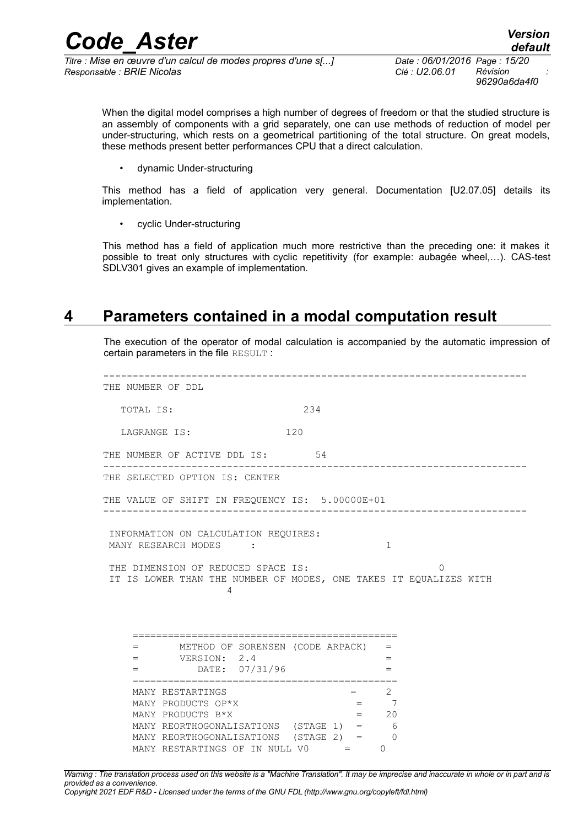*96290a6da4f0*

When the digital model comprises a high number of degrees of freedom or that the studied structure is an assembly of components with a grid separately, one can use methods of reduction of model per under-structuring, which rests on a geometrical partitioning of the total structure. On great models, these methods present better performances CPU that a direct calculation.

• dynamic Under-structuring

This method has a field of application very general. Documentation [U2.07.05] details its implementation.

cyclic Under-structuring

This method has a field of application much more restrictive than the preceding one: it makes it possible to treat only structures with cyclic repetitivity (for example: aubagée wheel,…). CAS-test SDLV301 gives an example of implementation.

### **4 Parameters contained in a modal computation result**

<span id="page-14-0"></span>The execution of the operator of modal calculation is accompanied by the automatic impression of certain parameters in the file RESULT :

| THE NUMBER OF DDL |                                                                                                                                                                                           |     |                          |              |          |  |
|-------------------|-------------------------------------------------------------------------------------------------------------------------------------------------------------------------------------------|-----|--------------------------|--------------|----------|--|
| TOTAL IS:         |                                                                                                                                                                                           | 234 |                          |              |          |  |
| LAGRANGE IS:      |                                                                                                                                                                                           | 120 |                          |              |          |  |
|                   | THE NUMBER OF ACTIVE DDL IS: 54                                                                                                                                                           |     |                          |              |          |  |
|                   | THE SELECTED OPTION IS: CENTER                                                                                                                                                            |     |                          |              |          |  |
|                   | THE VALUE OF SHIFT IN FREQUENCY IS: 5.00000E+01                                                                                                                                           |     |                          |              |          |  |
|                   | INFORMATION ON CALCULATION REQUIRES:<br>MANY RESEARCH MODES :<br>THE DIMENSION OF REDUCED SPACE IS:<br>IT IS LOWER THAN THE NUMBER OF MODES, ONE TAKES IT EQUALIZES WITH<br>4             |     |                          | $\mathbf{1}$ | $\Omega$ |  |
|                   | = METHOD OF SORENSEN (CODE ARPACK) =<br>$=$ VERSION: 2.4<br>$=$ DATE: 07/31/96                                                                                                            |     |                          | $=$<br>$=$   |          |  |
|                   | MANY RESTARTINGS<br>MANY PRODUCTS OP*X<br>MANY PRODUCTS B*X<br>MANY REORTHOGONALISATIONS (STAGE 1) = 6<br>MANY REORTHOGONALISATIONS (STAGE 2) = 0<br>MANY RESTARTINGS OF IN NULL V0 $=$ 0 |     | $=$ 2<br>$= 7$<br>$= 20$ |              |          |  |

*Warning : The translation process used on this website is a "Machine Translation". It may be imprecise and inaccurate in whole or in part and is provided as a convenience. Copyright 2021 EDF R&D - Licensed under the terms of the GNU FDL (http://www.gnu.org/copyleft/fdl.html)*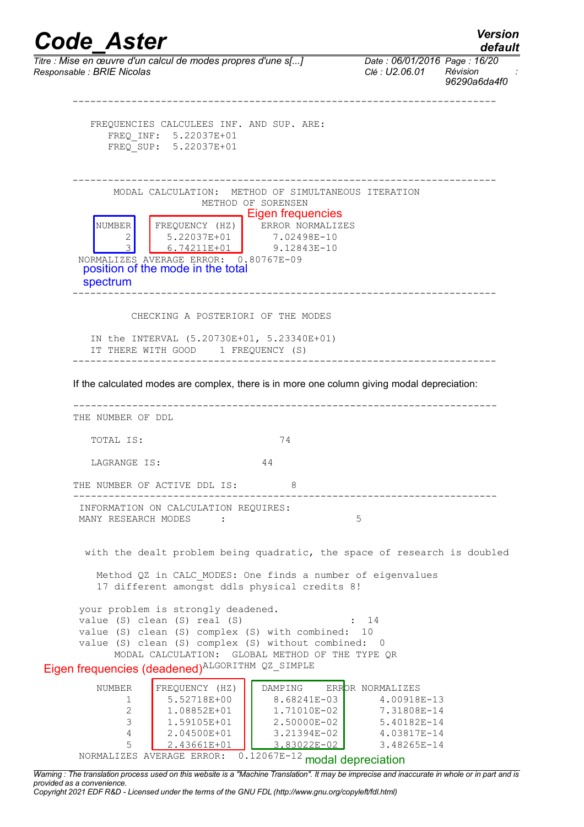*Titre : Mise en œuvre d'un calcul de modes propres d'une s[...] Date : 06/01/2016 Page : 16/20 Responsable : BRIE Nicolas Clé : U2.06.01 Révision :*

*96290a6da4f0*

*default*

------------------------------------------------------------------------ FREQUENCIES CALCULEES INF. AND SUP. ARE: FREQ\_INF: 5.22037E+01 FREQ\_SUP: 5.22037E+01 ------------------------------------------------------------------------ MODAL CALCULATION: METHOD OF SIMULTANEOUS ITERATION METHOD OF SORENSEN NUMBER FREQUENCY (HZ) ERROR NORMALIZES **2** 5.22037E+01 7.02498E-10 **8.12843E-10 3.12843E-10** NORMALIZES AVERAGE ERROR: 0.80767E-09<br>position of the mode in the total ------------------------------------------------------------------------ CHECKING A POSTERIORI OF THE MODES IN the INTERVAL (5.20730E+01, 5.23340E+01) IT THERE WITH GOOD 1 FREQUENCY (S) ------------------------------------------------------------------------ If the calculated modes are complex, there is in more one column giving modal depreciation: ------------------------------------------------------------------------ THE NUMBER OF DDL TOTAL IS:  $74$  LAGRANGE IS: 44 THE NUMBER OF ACTIVE DDL IS: 8 ------------------------------------------------------------------------ INFORMATION ON CALCULATION REQUIRES: MANY RESEARCH MODES : 5 with the dealt problem being quadratic, the space of research is doubled Method QZ in CALC MODES: One finds a number of eigenvalues 17 different amongst ddls physical credits 8! your problem is strongly deadened. value (S) clean (S) real (S)  $\qquad \qquad ; \quad 14$  value (S) clean (S) complex (S) with combined: 10 value (S) clean (S) complex (S) without combined: 0 MODAL CALCULATION: GLOBAL METHOD OF THE TYPE QR frequencies (deadened) ALGORITHM QZ\_SIMPLE Eigen frequencies (deadened)NUMBER FREQUENCY (HZ) DAMPING ERROR NORMALIZES  $\begin{array}{|c|c|c|c|c|c|}\n\hline\n1 & 5.52718E+00 & & 8.68241E-03 & & 4.00918E-13 \\
\hline\n2 & 1.08852E+01 & 1.71010E-02 & & 7.31808E-14\n\end{array}$  $\begin{array}{c|c|c|c|c} 1 & 5.52718\text{E}+00 & 8.68241\text{E}-03 \\ 2 & 1.08852\text{E}+01 & 1.71010\text{E}-02 \\ 3 & 1.59105\text{E}+01 & 2.50000\text{E}-02 \end{array}$ 3 1.59105E+01 2.50000E-02 5.40182E-14<br>
2.04500E+01 3.21394E-02 4.03817E-14  $\begin{array}{|c|c|c|c|c|}\n\hline\n\text{2.04500E+01} & \text{3.21394E-02} & \text{4.03817E-14} \\
\hline\n\text{2.43661E+01} & \text{3.83022E-02} & \text{3.48265E-14}\n\hline\n\end{array}$ Eigen frequencies spectrum

NORMALIZES AVERAGE ERROR: 0.12067E-12 modal depreciation

5 **2.43661E+01 2.3.83022E-02** 3.48265E-14

*Warning : The translation process used on this website is a "Machine Translation". It may be imprecise and inaccurate in whole or in part and is provided as a convenience.*

*Copyright 2021 EDF R&D - Licensed under the terms of the GNU FDL (http://www.gnu.org/copyleft/fdl.html)*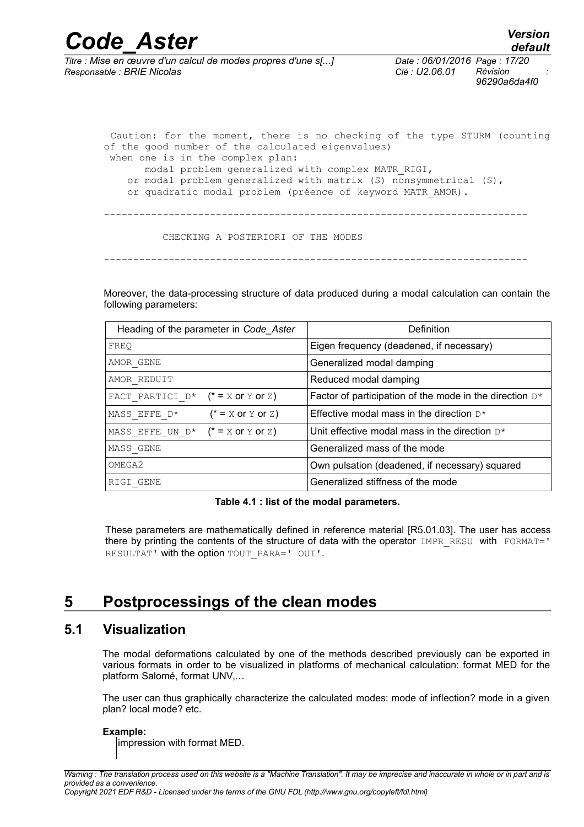*Titre : Mise en œuvre d'un calcul de modes propres d'une s[...] Date : 06/01/2016 Page : 17/20 Responsable : BRIE Nicolas Clé : U2.06.01 Révision :*

*96290a6da4f0*

*default*

 Caution: for the moment, there is no checking of the type STURM (counting of the good number of the calculated eigenvalues) when one is in the complex plan: modal problem generalized with complex MATR\_RIGI, or modal problem generalized with matrix (S) nonsymmetrical (S), or quadratic modal problem (préence of keyword MATR\_AMOR).  $-$ 

CHECKING A POSTERIORI OF THE MODES

------------------------------------------------------------------------

Moreover, the data-processing structure of data produced during a modal calculation can contain the following parameters:

| Heading of the parameter in Code Aster | Definition                                                 |  |  |  |
|----------------------------------------|------------------------------------------------------------|--|--|--|
| FREO                                   | Eigen frequency (deadened, if necessary)                   |  |  |  |
| AMOR GENE                              | Generalized modal damping                                  |  |  |  |
| AMOR REDUIT                            | Reduced modal damping                                      |  |  |  |
| FACT PARTICI $D^*$ (* = X or Y or Z)   | Factor of participation of the mode in the direction $D^*$ |  |  |  |
| $(* = X or Y or Z)$<br>MASS EFFE D*    | Effective modal mass in the direction $D^*$                |  |  |  |
| MASS EFFE UN $D^*$ (* = X or Y or Z)   | Unit effective modal mass in the direction $D^*$           |  |  |  |
| MASS GENE                              | Generalized mass of the mode                               |  |  |  |
| OMEGA2                                 | Own pulsation (deadened, if necessary) squared             |  |  |  |
| RIGI GENE                              | Generalized stiffness of the mode                          |  |  |  |

**Table 4.1 : list of the modal parameters.**

These parameters are mathematically defined in reference material [R5.01.03]. The user has access there by printing the contents of the structure of data with the operator IMPR RESU with FORMAT=' RESULTAT' with the option TOUT PARA=' OUI'.

## **5 Postprocessings of the clean modes**

### **5.1 Visualization**

<span id="page-16-0"></span>The modal deformations calculated by one of the methods described previously can be exported in various formats in order to be visualized in platforms of mechanical calculation: format MED for the platform Salomé, format UNV,…

The user can thus graphically characterize the calculated modes: mode of inflection? mode in a given plan? local mode? etc.

#### **Example:**

impression with format MED.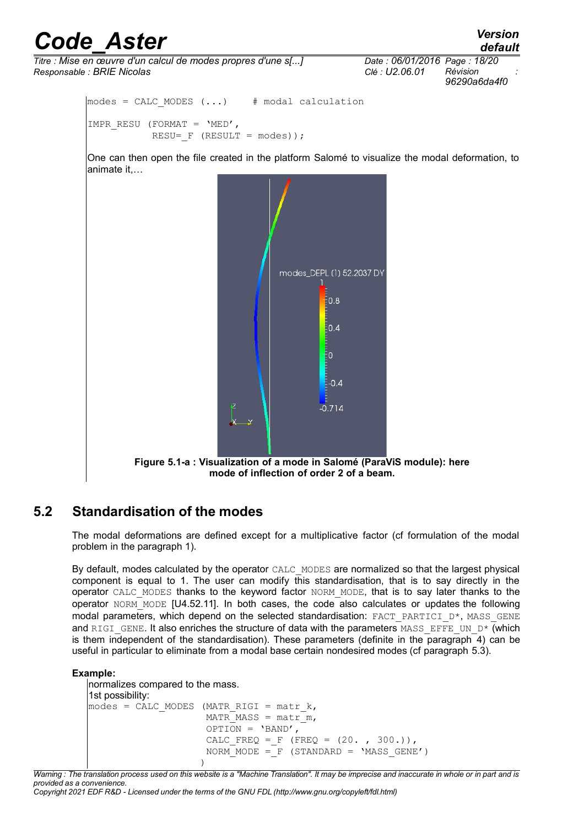*default*

*Titre : Mise en œuvre d'un calcul de modes propres d'une s[...] Date : 06/01/2016 Page : 18/20 Responsable : BRIE Nicolas Clé : U2.06.01 Révision :*

*96290a6da4f0*

```
\modes = CALC MODES (...) # modal calculation
IMPR RESU (FORMAT = 'MED',
           RESU= F (RESULT = modes));
```
One can then open the file created in the platform Salomé to visualize the modal deformation, to animate it,…



**Figure 5.1-a : Visualization of a mode in Salomé (ParaViS module): here mode of inflection of order 2 of a beam.**

### **5.2 Standardisation of the modes**

The modal deformations are defined except for a multiplicative factor (cf formulation of the modal problem in the paragraph [1\)](#page-2-0).

By default, modes calculated by the operator CALC\_MODES are normalized so that the largest physical component is equal to 1. The user can modify this standardisation, that is to say directly in the operator CALC\_MODES thanks to the keyword factor NORM\_MODE, that is to say later thanks to the operator NORM MODE [U4.52.11]. In both cases, the code also calculates or updates the following modal parameters, which depend on the selected standardisation: FACT\_PARTICI\_D\*, MASS\_GENE and RIGI GENE. It also enriches the structure of data with the parameters MASS EFFE UN D\* (which is them independent of the standardisation). These parameters (definite in the paragraph [4\)](#page-14-0) can be useful in particular to eliminate from a modal base certain nondesired modes (cf paragraph [5.3\)](#page-18-0).

#### **Example:**

```
normalizes compared to the mass.
1st possibility:
modes = CALC MODES (MATR RIGI = matr k,
                   MATR MASS = matrixOPTION = 'BAND',
                    CALC FREQ = F (FREQ = (20. , 300.)),
                   NORM-MODE = F (STANDARD = 'MASS GENE') )
```
*Warning : The translation process used on this website is a "Machine Translation". It may be imprecise and inaccurate in whole or in part and is provided as a convenience. Copyright 2021 EDF R&D - Licensed under the terms of the GNU FDL (http://www.gnu.org/copyleft/fdl.html)*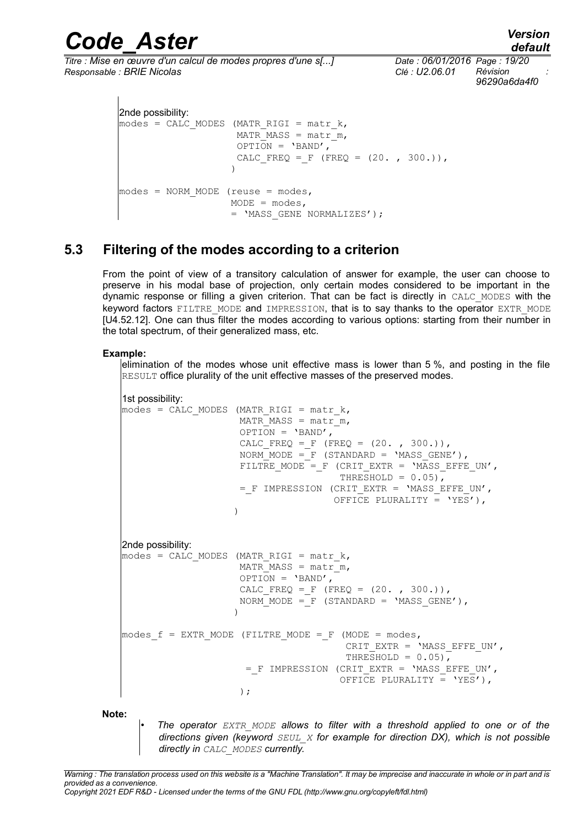*Titre : Mise en œuvre d'un calcul de modes propres d'une s[...] Date : 06/01/2016 Page : 19/20 Responsable : BRIE Nicolas Clé : U2.06.01 Révision :*

*96290a6da4f0*

*default*

```
2nde possibility:
modes = CALC MODES (MATR RIGI = matrix k,MATR MASS = \text{matr}_{m},
                    OPTION = 'BAND',CALC FREQ = F (FREQ = (20. , 300.)),
 )
modes = NORM MODE (reuse = modes,
                   MODE = modes, = 'MASS_GENE NORMALIZES');
```
*Code\_Aster Version*

### **5.3 Filtering of the modes according to a criterion**

<span id="page-18-0"></span>From the point of view of a transitory calculation of answer for example, the user can choose to preserve in his modal base of projection, only certain modes considered to be important in the dynamic response or filling a given criterion. That can be fact is directly in CALC\_MODES with the keyword factors FILTRE\_MODE and IMPRESSION, that is to say thanks to the operator EXTR\_MODE [U4.52.12]. One can thus filter the modes according to various options: starting from their number in the total spectrum, of their generalized mass, etc.

#### **Example:**

elimination of the modes whose unit effective mass is lower than 5 %, and posting in the file  $|$ RESULT office plurality of the unit effective masses of the preserved modes.

1st possibility: modes = CALC MODES (MATR RIGI = matr k, MATR MASS = matr  $m$ , OPTION = 'BAND', CALC FREQ = F (FREQ =  $(20. , 300.))$ , NORM MODE = F (STANDARD = 'MASS GENE'), FILTRE MODE = F (CRIT EXTR = 'MASS EFFE UN', THRESHOLD =  $0.05$ ),  $=$  F IMPRESSION (CRIT EXTR = 'MASS EFFE UN', OFFICE PLURALITY =  $'YES'$ ), ) 2nde possibility: modes = CALC MODES (MATR RIGI = matr  $k$ ,  $MATR$   $MASS = matrix$   $m,$  $OPTION = 'BAND'.$ CALC FREQ = F (FREQ =  $(20. , 300.))$ , NORM MODE = F (STANDARD = 'MASS GENE'),  $)$  $modes$  f = EXTR MODE (FILTRE MODE = F (MODE = modes, CRIT\_EXTR = 'MASS\_EFFE\_UN', THRESHOLD =  $0.05$ ),  $=$  F IMPRESSION (CRIT EXTR = 'MASS EFFE UN', OFFICE PLURALITY =  $'YES'$ ), )  $\mathbf{r}$ 

**Note:**

• *The operator EXTR\_MODE allows to filter with a threshold applied to one or of the directions given (keyword SEUL\_X for example for direction DX), which is not possible directly in CALC\_MODES currently.*